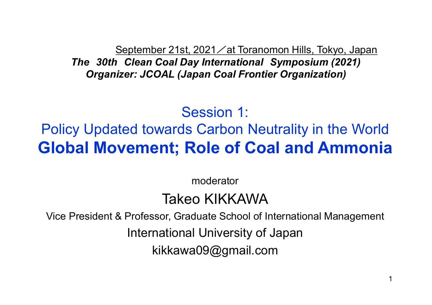September 21st, 2021 ⁄at Toranomon Hills, Tokyo, Japan <u>September 21st, 2021 ∕ at Toranomon Hills, Tokyo, Japan</u><br>The 30th Clean Coal Day International Symposium (2021)<br>Organizer: JCOAL (Japan Coal Frontier Organization) Organizer: JCOAL (Japan Coal Frontier Organization)

Session 1:

#### Policy Updated towards Carbon Neutrality in the World Global Movement; Role of Coal and Ammonia

moderator

#### Takeo KIKKAWA

Vice President & Professor, Graduate School of International Management

International University of Japan

kikkawa09@gmail.com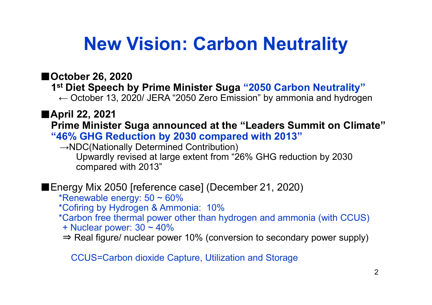### New Vision: Carbon Neutrality

#### ■October 26, 2020

1 st Diet Speech by Prime Minister Suga "2050 Carbon Neutrality" New Vision: Carbon Neutrality<br>
ctober 26, 2020<br>
<sup>st</sup> Diet Speech by Prime Minister Suga "2050 Carbon Neutrality"<br>
← October 13, 2020/ JERA "2050 Zero Emission" by ammonia and hydrogen<br>
pril 22, 2021<br>
rime Minister Suga an

#### ■April 22, 2021

# **New Vision: Carbon Neutrality**<br>
October 26, 2020<br>
1<sup>st</sup> Diet Speech by Prime Minister Suga "2050 Carbon Neutrality"<br>
← October 13, 2020/ JERA "2050 Zero Emission" by ammonia and hydrogen<br>
April 22, 2021<br>
Prime Minister Su "46% GHG Reduction by 2030 compared with 2013"

→NDC(Nationally Determined Contribution) **New Vision: Carbon Neutrality**<br>
oer 26, 2020<br>
et Speech by Prime Minister Suga "2050 Carbon Neutrality"<br>
october 13, 2020/ JERA "2050 Zero Emission" by ammonia and hydrogen<br>
22, 2021<br>
P Minister Suga announced at the "Lea compared with 2013" – October 13, 2020/ JERA "2050 Zero Emission" by ammonia<br> **iril 22, 2021**<br> **ime Minister Suga announced at the "Leaders Sumn 6% GHG Reduction by 2030 compared with 2013"**<br>
→NDC(Nationally Determined Contribution)<br>
Upward

#### ■Energy Mix 2050 [reference case] (December 21, 2020)

\*Renewable energy:  $50 \sim 60\%$ 

\*Cofiring by Hydrogen & Ammonia: 10%

- \*Carbon free thermal power other than hydrogen and ammonia (with CCUS)
- 
- ⇒ Real figure/ nuclear power 10% (conversion to secondary power supply)

CCUS=Carbon dioxide Capture, Utilization and Storage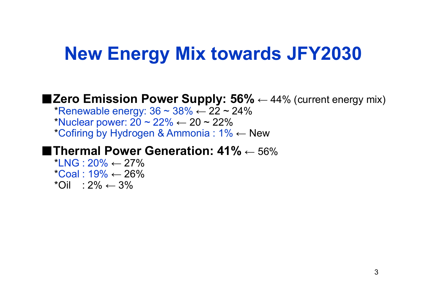#### New Energy Mix towards JFY2030

**New Energy Mix towards JFY2030<br>
Zero Emission Power Supply: 56% ← 44% (current energy mix)<br>
\*Renewable energy: 36 ~ 38% ← 22 ~ 24%<br>
\*Nuclear power: 20 ~ 22% ← 20 ~ 22%<br>\*Cofiring by Hydrogen & Ammonia : 1% ← New** \*Renewable energy:  $36 - 38\% \leftarrow 22 - 24\%$ <br>\*Nuclear power:  $20 - 22\% \leftarrow 20 - 22\%$ **New Energy Mix towards JFY2030**<br>Zero Emission Power Supply: 56% ← 44% (current energy m<br>"Renewable energy: 36 ~ 38% ← 22 ~ 24%<br>"Nuclear power: 20 ~ 22% ← 20 ~ 22%<br>"Cofiring by Hydrogen & Ammonia : 1% ← New<br>Thermal Power \*Cofiring by Hydrogen & Ammonia : 1% ← New **New Energy Mix towards JFY2030**<br> **Ezero Emission Power Supply: 56%** ← 44% (current energy mix)<br>
\*Renewable energy: 36 ~ 38% ← 22 ~ 24%<br>
\*Nuclear power: 20 ~ 22% ← 20 ~ 22%<br>
\*Cofiring by Hydrogen & Ammonia : 1% ← New<br> **Ex New Energy Mix towards.**<br>
Zero Emission Power Supply: 56%  $\leftarrow$  44%<br>
\*Renewable energy: 36 ~ 38%  $\leftarrow$  22 ~ 24%<br>
\*Nuclear power: 20 ~ 22%  $\leftarrow$  20 ~ 22%<br>
\*Cofiring by Hydrogen & Ammonia : 1%  $\leftarrow$  New<br>
Thermal Power Gene **EXECT SOME THE SUMPLE 10 ANDRET SERVIDE SERVIDE SERVIDE SERVIDE THE THOMORY SUPPLY: 56%**  $\leftarrow$  **44% \*Nuclear power: 20 ~ 22%**  $\leftarrow$  **20 ~ 22%**  $\leftarrow$  **20 ~ 22% \*Cofiring by Hydrogen & Ammonia : 1%**  $\leftarrow$  **New Thermal Power Genera** 

 $*LNG: 20\% \leftarrow 27\%$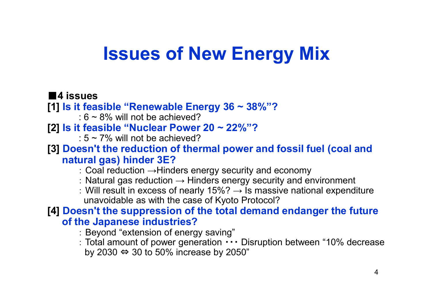### Issues of New Energy Mix

#### ■4 issues

[1] Is it feasible "Renewable Energy  $36 \sim 38\%$ "?

: 6 ~ 8% will not be achieved?

#### [2] Is it feasible "Nuclear Power 20  $\sim$  22%"?

 $\cdot$  5  $\sim$  7% will not be achieved?

## [3] Doesn't the reduction of thermal power and fossil fuel (coal and natural gas) hinder 3E? **Excess of FREE CONDUCT 25 A** Section<br>
the fasible "Renewable Energy 36 ~ 38%"?<br>  $: 6 \sim 8\%$  will not be achieved?<br>  $: 5 \sim 7\%$  will not be achieved?<br>  $: 5 \sim 7\%$  will not be achieved?<br>  $: 5 \sim 7\%$  will not be achieved?<br>

- : Coal reduction →Hinders energy security and economy
- : Natural gas reduction  $\rightarrow$  Hinders energy security and environment
- unavoidable as with the case of Kyoto Protocol?

#### [4] Doesn't the suppression of the total demand endanger the future of the Japanese industries?

- : Beyond "extension of energy saving"
- : Total amount of power generation ・・・ Disruption between "10% decrease by 2030  $\Leftrightarrow$  30 to 50% increase by 2050"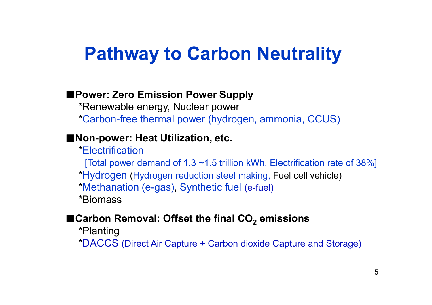#### Pathway to Carbon Neutrality

#### ■Power: Zero Emission Power Supply

\*Renewable energy, Nuclear power \*Carbon-free thermal power (hydrogen, ammonia, CCUS)

#### ■Non-power: Heat Utilization, etc.

\*Electrification

[Total power demand of 1.3 ~1.5 trillion kWh, Electrification rate of 38%]

\*Hydrogen (Hydrogen reduction steel making, Fuel cell vehicle)

\*Methanation (e-gas), Synthetic fuel (e-fuel)

\*Biomass

#### ■Carbon Removal: Offset the final  $CO<sub>2</sub>$  emissions

\*Planting \*DACCS (Direct Air Capture + Carbon dioxide Capture and Storage)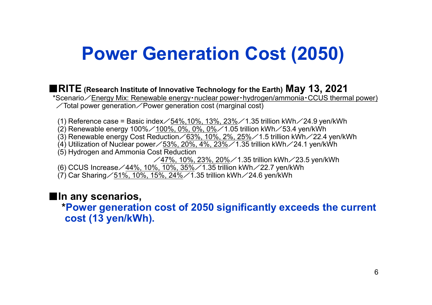# Power Generation Cost (2050) **POWer Generation Cost (2050)**<br>**RITE** (Research Institute of Innovative Technology for the Earth) May 13, 2021<br>"Scenario/Energy Mix: Renewable energy-nuclear power-hydrogen/ammonia-CCUS thermal power)<br>/Total power generat

#### $\blacksquare$ RITE (Research Institute of Innovative Technology for the Earth)  $\blacksquare$  and  $\blacksquare$  13, 2021<br>\*Scenario/Energy Mix: Renewable energy・nuclear power・hydrogen/ammonia・CCUS thermal power)

 $\angle$ Total power generation $\angle$ Power generation cost (marginal cost)

(1) Reference case = Basic index  $\angle$  54%, 10%, 13%, 23%  $\angle$  1.35 trillion kWh $\angle$  24.9 yen/kWh

 $(2)$  Renewable energy 100% / 100%, 0%, 0%, 0%/1.05 trillion kWh / 53.4 yen/kWh

(3) Renewable energy Cost Reduction  $\angle 63\%$ , 10%, 2%, 25%  $\angle 1.5$  trillion kWh $\angle 22.4$  yen/kWh

(4) Utilization of Nuclear power  $\angle$  53%, 20%, 4%, 23% $\angle$ 1.35 trillion kWh $\angle$ 24.1 yen/kWh

(5) Hydrogen and Ammonia Cost Reduction

 $\angle$ 47%, 10%, 23%, 20% $\angle$ 1.35 trillion kWh $\angle$ 23.5 yen/kWh

(6) CCUS Increase/44%, 10%, 10%, 35%/1.35 trillion kWh/22.7 yen/kWh

 $(7)$  Car Sharing  $\angle$  51%, 10%, 15%, 24% $\angle$ 1.35 trillion kWh $\angle$ 24.6 yen/kWh

#### ■In any scenarios,

\*Power generation cost of 2050 significantly exceeds the current cost (13 yen/kWh).